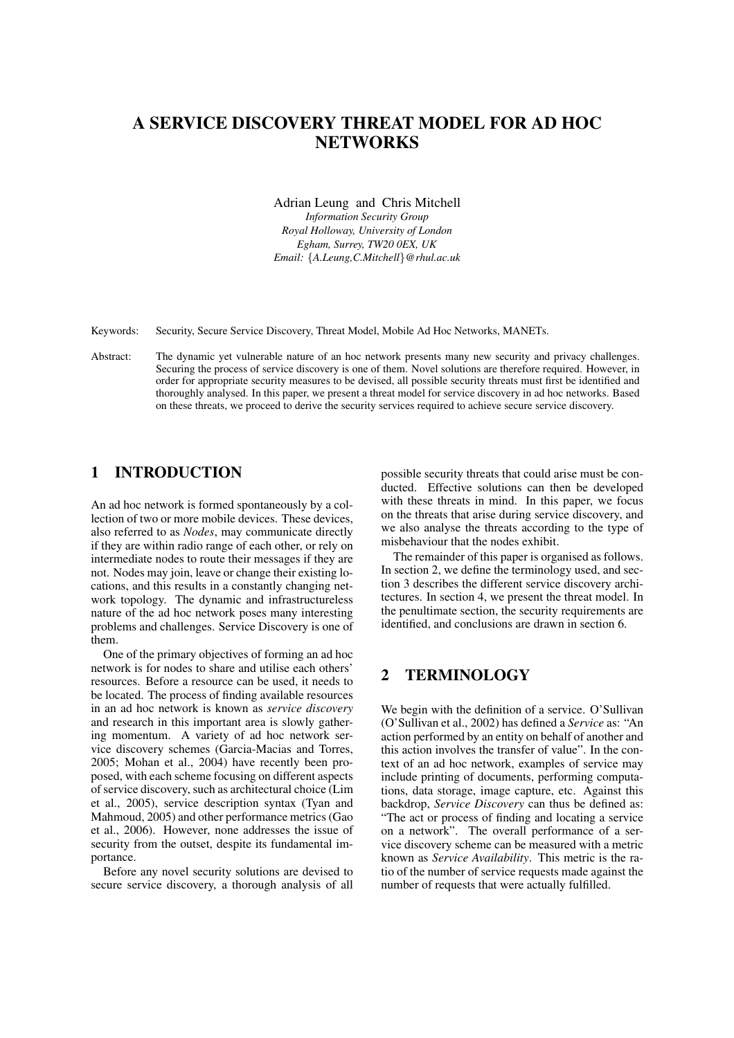# A SERVICE DISCOVERY THREAT MODEL FOR AD HOC **NETWORKS**

Adrian Leung and Chris Mitchell

*Information Security Group Royal Holloway, University of London Egham, Surrey, TW20 0EX, UK Email:* {*A.Leung,C.Mitchell*}*@rhul.ac.uk*

Keywords: Security, Secure Service Discovery, Threat Model, Mobile Ad Hoc Networks, MANETs.

Abstract: The dynamic yet vulnerable nature of an hoc network presents many new security and privacy challenges. Securing the process of service discovery is one of them. Novel solutions are therefore required. However, in order for appropriate security measures to be devised, all possible security threats must first be identified and thoroughly analysed. In this paper, we present a threat model for service discovery in ad hoc networks. Based on these threats, we proceed to derive the security services required to achieve secure service discovery.

# 1 INTRODUCTION

An ad hoc network is formed spontaneously by a collection of two or more mobile devices. These devices, also referred to as *Nodes*, may communicate directly if they are within radio range of each other, or rely on intermediate nodes to route their messages if they are not. Nodes may join, leave or change their existing locations, and this results in a constantly changing network topology. The dynamic and infrastructureless nature of the ad hoc network poses many interesting problems and challenges. Service Discovery is one of them.

One of the primary objectives of forming an ad hoc network is for nodes to share and utilise each others' resources. Before a resource can be used, it needs to be located. The process of finding available resources in an ad hoc network is known as *service discovery* and research in this important area is slowly gathering momentum. A variety of ad hoc network service discovery schemes (Garcia-Macias and Torres, 2005; Mohan et al., 2004) have recently been proposed, with each scheme focusing on different aspects of service discovery, such as architectural choice (Lim et al., 2005), service description syntax (Tyan and Mahmoud, 2005) and other performance metrics (Gao et al., 2006). However, none addresses the issue of security from the outset, despite its fundamental importance.

Before any novel security solutions are devised to secure service discovery, a thorough analysis of all possible security threats that could arise must be conducted. Effective solutions can then be developed with these threats in mind. In this paper, we focus on the threats that arise during service discovery, and we also analyse the threats according to the type of misbehaviour that the nodes exhibit.

The remainder of this paper is organised as follows. In section 2, we define the terminology used, and section 3 describes the different service discovery architectures. In section 4, we present the threat model. In the penultimate section, the security requirements are identified, and conclusions are drawn in section 6.

### 2 TERMINOLOGY

We begin with the definition of a service. O'Sullivan (O'Sullivan et al., 2002) has defined a *Service* as: "An action performed by an entity on behalf of another and this action involves the transfer of value". In the context of an ad hoc network, examples of service may include printing of documents, performing computations, data storage, image capture, etc. Against this backdrop, *Service Discovery* can thus be defined as: "The act or process of finding and locating a service on a network". The overall performance of a service discovery scheme can be measured with a metric known as *Service Availability*. This metric is the ratio of the number of service requests made against the number of requests that were actually fulfilled.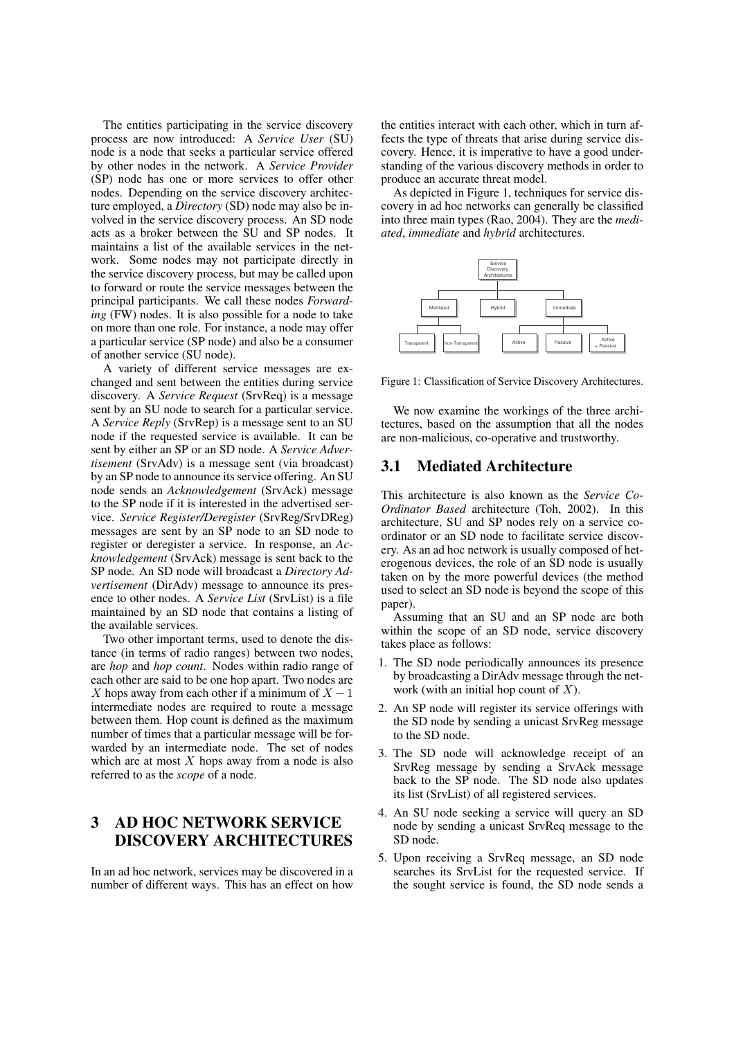The entities participating in the service discovery process are now introduced: A *Service User* (SU) node is a node that seeks a particular service offered by other nodes in the network. A *Service Provider* (SP) node has one or more services to offer other nodes. Depending on the service discovery architecture employed, a *Directory* (SD) node may also be involved in the service discovery process. An SD node acts as a broker between the SU and SP nodes. It maintains a list of the available services in the network. Some nodes may not participate directly in the service discovery process, but may be called upon to forward or route the service messages between the principal participants. We call these nodes *Forwarding* (FW) nodes. It is also possible for a node to take on more than one role. For instance, a node may offer a particular service (SP node) and also be a consumer of another service (SU node).

A variety of different service messages are exchanged and sent between the entities during service discovery. A *Service Request* (SrvReq) is a message sent by an SU node to search for a particular service. A *Service Reply* (SrvRep) is a message sent to an SU node if the requested service is available. It can be sent by either an SP or an SD node. A *Service Advertisement* (SrvAdv) is a message sent (via broadcast) by an SP node to announce its service offering. An SU node sends an *Acknowledgement* (SrvAck) message to the SP node if it is interested in the advertised service. *Service Register/Deregister* (SrvReg/SrvDReg) messages are sent by an SP node to an SD node to register or deregister a service. In response, an *Acknowledgement* (SrvAck) message is sent back to the SP node. An SD node will broadcast a *Directory Advertisement* (DirAdv) message to announce its presence to other nodes. A *Service List* (SrvList) is a file maintained by an SD node that contains a listing of the available services.

Two other important terms, used to denote the distance (in terms of radio ranges) between two nodes, are *hop* and *hop count*. Nodes within radio range of each other are said to be one hop apart. Two nodes are X hops away from each other if a minimum of  $X - 1$ intermediate nodes are required to route a message between them. Hop count is defined as the maximum number of times that a particular message will be forwarded by an intermediate node. The set of nodes which are at most  $X$  hops away from a node is also referred to as the *scope* of a node.

# 3 AD HOC NETWORK SERVICE DISCOVERY ARCHITECTURES

In an ad hoc network, services may be discovered in a number of different ways. This has an effect on how

the entities interact with each other, which in turn affects the type of threats that arise during service discovery. Hence, it is imperative to have a good understanding of the various discovery methods in order to produce an accurate threat model.

As depicted in Figure 1, techniques for service discovery in ad hoc networks can generally be classified into three main types (Rao, 2004). They are the *mediated*, *immediate* and *hybrid* architectures.



Figure 1: Classification of Service Discovery Architectures.

We now examine the workings of the three architectures, based on the assumption that all the nodes are non-malicious, co-operative and trustworthy.

### 3.1 Mediated Architecture

This architecture is also known as the *Service Co-Ordinator Based* architecture (Toh, 2002). In this architecture, SU and SP nodes rely on a service coordinator or an SD node to facilitate service discovery. As an ad hoc network is usually composed of heterogenous devices, the role of an SD node is usually taken on by the more powerful devices (the method used to select an SD node is beyond the scope of this paper).

Assuming that an SU and an SP node are both within the scope of an SD node, service discovery takes place as follows:

- 1. The SD node periodically announces its presence by broadcasting a DirAdv message through the network (with an initial hop count of  $X$ ).
- 2. An SP node will register its service offerings with the SD node by sending a unicast SrvReg message to the SD node.
- 3. The SD node will acknowledge receipt of an SrvReg message by sending a SrvAck message back to the SP node. The SD node also updates its list (SrvList) of all registered services.
- 4. An SU node seeking a service will query an SD node by sending a unicast SrvReq message to the SD node.
- 5. Upon receiving a SrvReq message, an SD node searches its SrvList for the requested service. If the sought service is found, the SD node sends a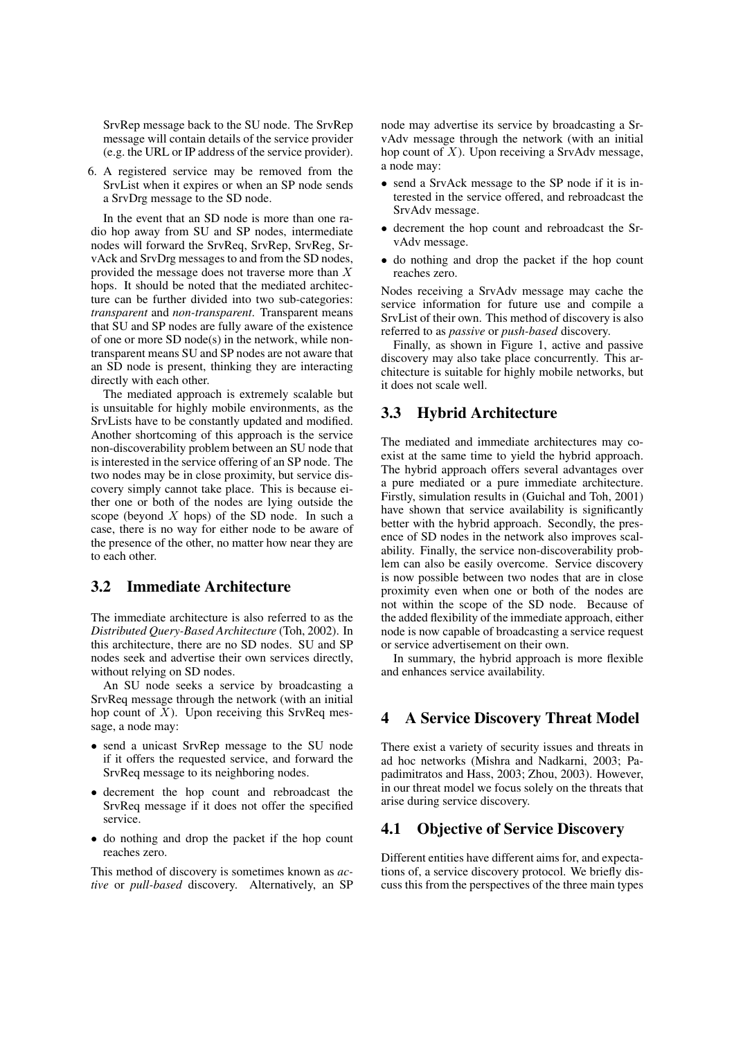SrvRep message back to the SU node. The SrvRep message will contain details of the service provider (e.g. the URL or IP address of the service provider).

6. A registered service may be removed from the SrvList when it expires or when an SP node sends a SrvDrg message to the SD node.

In the event that an SD node is more than one radio hop away from SU and SP nodes, intermediate nodes will forward the SrvReq, SrvRep, SrvReg, SrvAck and SrvDrg messages to and from the SD nodes, provided the message does not traverse more than X hops. It should be noted that the mediated architecture can be further divided into two sub-categories: *transparent* and *non-transparent*. Transparent means that SU and SP nodes are fully aware of the existence of one or more SD node(s) in the network, while nontransparent means SU and SP nodes are not aware that an SD node is present, thinking they are interacting directly with each other.

The mediated approach is extremely scalable but is unsuitable for highly mobile environments, as the SrvLists have to be constantly updated and modified. Another shortcoming of this approach is the service non-discoverability problem between an SU node that is interested in the service offering of an SP node. The two nodes may be in close proximity, but service discovery simply cannot take place. This is because either one or both of the nodes are lying outside the scope (beyond  $X$  hops) of the SD node. In such a case, there is no way for either node to be aware of the presence of the other, no matter how near they are to each other.

# 3.2 Immediate Architecture

The immediate architecture is also referred to as the *Distributed Query-Based Architecture* (Toh, 2002). In this architecture, there are no SD nodes. SU and SP nodes seek and advertise their own services directly, without relying on SD nodes.

An SU node seeks a service by broadcasting a SrvReq message through the network (with an initial hop count of  $\overline{X}$ ). Upon receiving this SrvReq message, a node may:

- send a unicast SrvRep message to the SU node if it offers the requested service, and forward the SrvReq message to its neighboring nodes.
- decrement the hop count and rebroadcast the SrvReq message if it does not offer the specified service.
- do nothing and drop the packet if the hop count reaches zero.

This method of discovery is sometimes known as *active* or *pull-based* discovery. Alternatively, an SP node may advertise its service by broadcasting a SrvAdv message through the network (with an initial hop count of  $X$ ). Upon receiving a SrvAdv message, a node may:

- send a SrvAck message to the SP node if it is interested in the service offered, and rebroadcast the SrvAdv message.
- decrement the hop count and rebroadcast the SrvAdv message.
- do nothing and drop the packet if the hop count reaches zero.

Nodes receiving a SrvAdv message may cache the service information for future use and compile a SrvList of their own. This method of discovery is also referred to as *passive* or *push-based* discovery.

Finally, as shown in Figure 1, active and passive discovery may also take place concurrently. This architecture is suitable for highly mobile networks, but it does not scale well.

### 3.3 Hybrid Architecture

The mediated and immediate architectures may coexist at the same time to yield the hybrid approach. The hybrid approach offers several advantages over a pure mediated or a pure immediate architecture. Firstly, simulation results in (Guichal and Toh, 2001) have shown that service availability is significantly better with the hybrid approach. Secondly, the presence of SD nodes in the network also improves scalability. Finally, the service non-discoverability problem can also be easily overcome. Service discovery is now possible between two nodes that are in close proximity even when one or both of the nodes are not within the scope of the SD node. Because of the added flexibility of the immediate approach, either node is now capable of broadcasting a service request or service advertisement on their own.

In summary, the hybrid approach is more flexible and enhances service availability.

# 4 A Service Discovery Threat Model

There exist a variety of security issues and threats in ad hoc networks (Mishra and Nadkarni, 2003; Papadimitratos and Hass, 2003; Zhou, 2003). However, in our threat model we focus solely on the threats that arise during service discovery.

# 4.1 Objective of Service Discovery

Different entities have different aims for, and expectations of, a service discovery protocol. We briefly discuss this from the perspectives of the three main types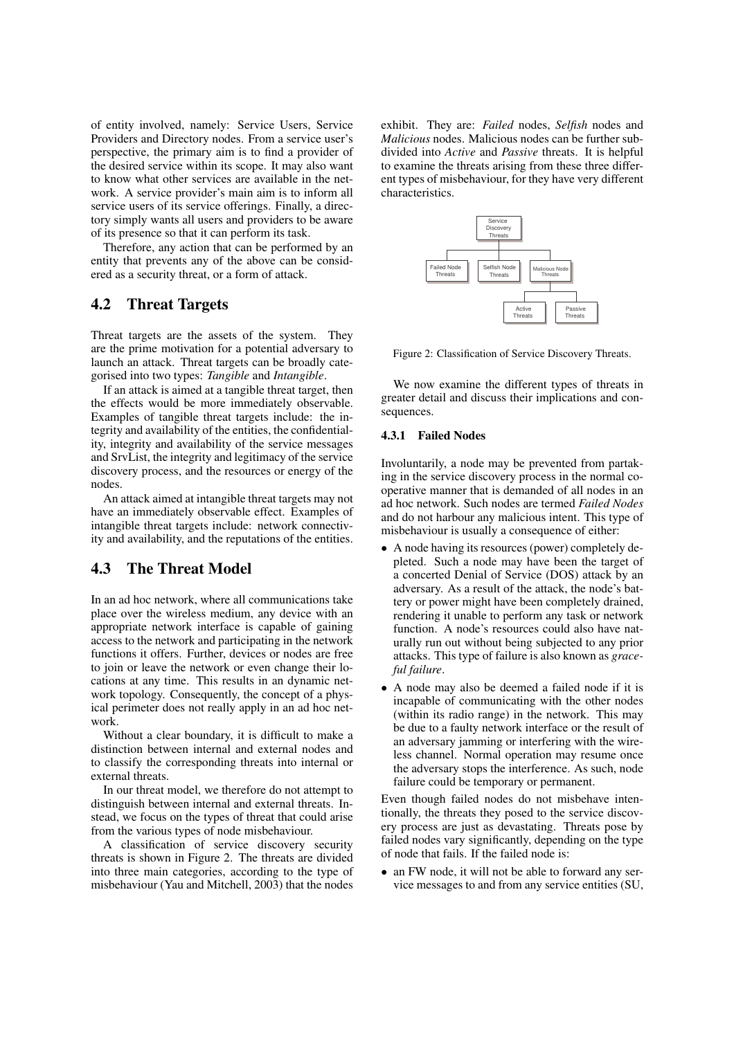of entity involved, namely: Service Users, Service Providers and Directory nodes. From a service user's perspective, the primary aim is to find a provider of the desired service within its scope. It may also want to know what other services are available in the network. A service provider's main aim is to inform all service users of its service offerings. Finally, a directory simply wants all users and providers to be aware of its presence so that it can perform its task.

Therefore, any action that can be performed by an entity that prevents any of the above can be considered as a security threat, or a form of attack.

#### 4.2 Threat Targets

Threat targets are the assets of the system. They are the prime motivation for a potential adversary to launch an attack. Threat targets can be broadly categorised into two types: *Tangible* and *Intangible*.

If an attack is aimed at a tangible threat target, then the effects would be more immediately observable. Examples of tangible threat targets include: the integrity and availability of the entities, the confidentiality, integrity and availability of the service messages and SrvList, the integrity and legitimacy of the service discovery process, and the resources or energy of the nodes.

An attack aimed at intangible threat targets may not have an immediately observable effect. Examples of intangible threat targets include: network connectivity and availability, and the reputations of the entities.

#### 4.3 The Threat Model

In an ad hoc network, where all communications take place over the wireless medium, any device with an appropriate network interface is capable of gaining access to the network and participating in the network functions it offers. Further, devices or nodes are free to join or leave the network or even change their locations at any time. This results in an dynamic network topology. Consequently, the concept of a physical perimeter does not really apply in an ad hoc network.

Without a clear boundary, it is difficult to make a distinction between internal and external nodes and to classify the corresponding threats into internal or external threats.

In our threat model, we therefore do not attempt to distinguish between internal and external threats. Instead, we focus on the types of threat that could arise from the various types of node misbehaviour.

A classification of service discovery security threats is shown in Figure 2. The threats are divided into three main categories, according to the type of misbehaviour (Yau and Mitchell, 2003) that the nodes exhibit. They are: *Failed* nodes, *Selfish* nodes and *Malicious* nodes. Malicious nodes can be further subdivided into *Active* and *Passive* threats. It is helpful to examine the threats arising from these three different types of misbehaviour, for they have very different characteristics.



Figure 2: Classification of Service Discovery Threats.

We now examine the different types of threats in greater detail and discuss their implications and consequences.

#### 4.3.1 Failed Nodes

Involuntarily, a node may be prevented from partaking in the service discovery process in the normal cooperative manner that is demanded of all nodes in an ad hoc network. Such nodes are termed *Failed Nodes* and do not harbour any malicious intent. This type of misbehaviour is usually a consequence of either:

- A node having its resources (power) completely depleted. Such a node may have been the target of a concerted Denial of Service (DOS) attack by an adversary. As a result of the attack, the node's battery or power might have been completely drained, rendering it unable to perform any task or network function. A node's resources could also have naturally run out without being subjected to any prior attacks. This type of failure is also known as *graceful failure*.
- A node may also be deemed a failed node if it is incapable of communicating with the other nodes (within its radio range) in the network. This may be due to a faulty network interface or the result of an adversary jamming or interfering with the wireless channel. Normal operation may resume once the adversary stops the interference. As such, node failure could be temporary or permanent.

Even though failed nodes do not misbehave intentionally, the threats they posed to the service discovery process are just as devastating. Threats pose by failed nodes vary significantly, depending on the type of node that fails. If the failed node is:

• an FW node, it will not be able to forward any service messages to and from any service entities (SU,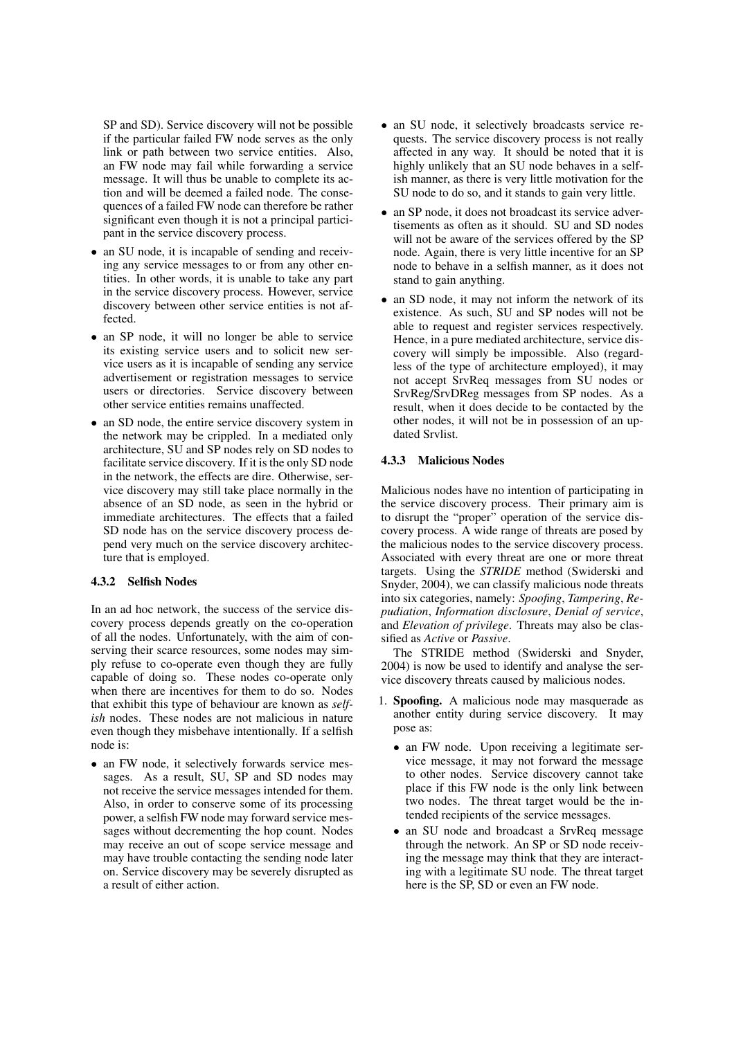SP and SD). Service discovery will not be possible if the particular failed FW node serves as the only link or path between two service entities. Also, an FW node may fail while forwarding a service message. It will thus be unable to complete its action and will be deemed a failed node. The consequences of a failed FW node can therefore be rather significant even though it is not a principal participant in the service discovery process.

- an SU node, it is incapable of sending and receiving any service messages to or from any other entities. In other words, it is unable to take any part in the service discovery process. However, service discovery between other service entities is not affected.
- an SP node, it will no longer be able to service its existing service users and to solicit new service users as it is incapable of sending any service advertisement or registration messages to service users or directories. Service discovery between other service entities remains unaffected.
- an SD node, the entire service discovery system in the network may be crippled. In a mediated only architecture, SU and SP nodes rely on SD nodes to facilitate service discovery. If it is the only SD node in the network, the effects are dire. Otherwise, service discovery may still take place normally in the absence of an SD node, as seen in the hybrid or immediate architectures. The effects that a failed SD node has on the service discovery process depend very much on the service discovery architecture that is employed.

#### 4.3.2 Selfish Nodes

In an ad hoc network, the success of the service discovery process depends greatly on the co-operation of all the nodes. Unfortunately, with the aim of conserving their scarce resources, some nodes may simply refuse to co-operate even though they are fully capable of doing so. These nodes co-operate only when there are incentives for them to do so. Nodes that exhibit this type of behaviour are known as *selfish* nodes. These nodes are not malicious in nature even though they misbehave intentionally. If a selfish node is:

• an FW node, it selectively forwards service messages. As a result, SU, SP and SD nodes may not receive the service messages intended for them. Also, in order to conserve some of its processing power, a selfish FW node may forward service messages without decrementing the hop count. Nodes may receive an out of scope service message and may have trouble contacting the sending node later on. Service discovery may be severely disrupted as a result of either action.

- an SU node, it selectively broadcasts service requests. The service discovery process is not really affected in any way. It should be noted that it is highly unlikely that an SU node behaves in a selfish manner, as there is very little motivation for the SU node to do so, and it stands to gain very little.
- an SP node, it does not broadcast its service advertisements as often as it should. SU and SD nodes will not be aware of the services offered by the SP node. Again, there is very little incentive for an SP node to behave in a selfish manner, as it does not stand to gain anything.
- an SD node, it may not inform the network of its existence. As such, SU and SP nodes will not be able to request and register services respectively. Hence, in a pure mediated architecture, service discovery will simply be impossible. Also (regardless of the type of architecture employed), it may not accept SrvReq messages from SU nodes or SrvReg/SrvDReg messages from SP nodes. As a result, when it does decide to be contacted by the other nodes, it will not be in possession of an updated Srvlist.

#### 4.3.3 Malicious Nodes

Malicious nodes have no intention of participating in the service discovery process. Their primary aim is to disrupt the "proper" operation of the service discovery process. A wide range of threats are posed by the malicious nodes to the service discovery process. Associated with every threat are one or more threat targets. Using the *STRIDE* method (Swiderski and Snyder, 2004), we can classify malicious node threats into six categories, namely: *Spoofing*, *Tampering*, *Repudiation*, *Information disclosure*, *Denial of service*, and *Elevation of privilege*. Threats may also be classified as *Active* or *Passive*.

The STRIDE method (Swiderski and Snyder, 2004) is now be used to identify and analyse the service discovery threats caused by malicious nodes.

- 1. Spoofing. A malicious node may masquerade as another entity during service discovery. It may pose as:
	- an FW node. Upon receiving a legitimate service message, it may not forward the message to other nodes. Service discovery cannot take place if this FW node is the only link between two nodes. The threat target would be the intended recipients of the service messages.
	- an SU node and broadcast a SrvReq message through the network. An SP or SD node receiving the message may think that they are interacting with a legitimate SU node. The threat target here is the SP, SD or even an FW node.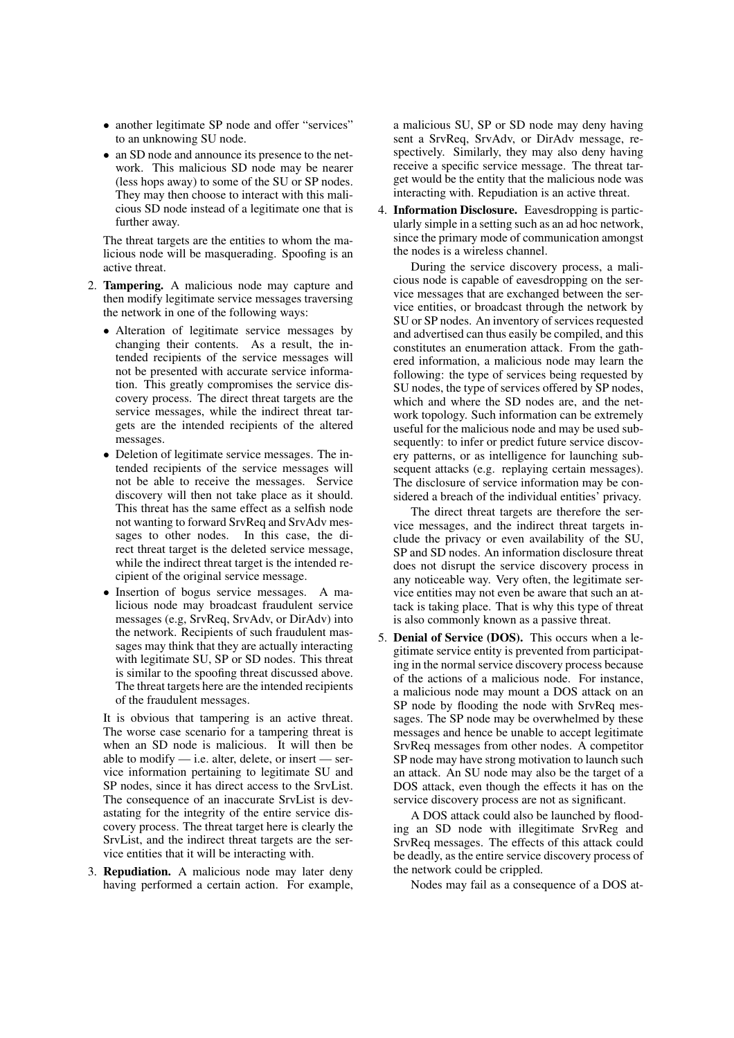- another legitimate SP node and offer "services" to an unknowing SU node.
- an SD node and announce its presence to the network. This malicious SD node may be nearer (less hops away) to some of the SU or SP nodes. They may then choose to interact with this malicious SD node instead of a legitimate one that is further away.

The threat targets are the entities to whom the malicious node will be masquerading. Spoofing is an active threat.

- 2. Tampering. A malicious node may capture and then modify legitimate service messages traversing the network in one of the following ways:
	- Alteration of legitimate service messages by changing their contents. As a result, the intended recipients of the service messages will not be presented with accurate service information. This greatly compromises the service discovery process. The direct threat targets are the service messages, while the indirect threat targets are the intended recipients of the altered messages.
	- Deletion of legitimate service messages. The intended recipients of the service messages will not be able to receive the messages. Service discovery will then not take place as it should. This threat has the same effect as a selfish node not wanting to forward SrvReq and SrvAdv messages to other nodes. In this case, the direct threat target is the deleted service message, while the indirect threat target is the intended recipient of the original service message.
	- Insertion of bogus service messages. A malicious node may broadcast fraudulent service messages (e.g, SrvReq, SrvAdv, or DirAdv) into the network. Recipients of such fraudulent massages may think that they are actually interacting with legitimate SU, SP or SD nodes. This threat is similar to the spoofing threat discussed above. The threat targets here are the intended recipients of the fraudulent messages.

It is obvious that tampering is an active threat. The worse case scenario for a tampering threat is when an SD node is malicious. It will then be able to modify  $-$  i.e. alter, delete, or insert  $-$  service information pertaining to legitimate SU and SP nodes, since it has direct access to the SrvList. The consequence of an inaccurate SrvList is devastating for the integrity of the entire service discovery process. The threat target here is clearly the SrvList, and the indirect threat targets are the service entities that it will be interacting with.

3. Repudiation. A malicious node may later deny having performed a certain action. For example, a malicious SU, SP or SD node may deny having sent a SrvReq, SrvAdv, or DirAdv message, respectively. Similarly, they may also deny having receive a specific service message. The threat target would be the entity that the malicious node was interacting with. Repudiation is an active threat.

4. Information Disclosure. Eavesdropping is particularly simple in a setting such as an ad hoc network, since the primary mode of communication amongst the nodes is a wireless channel.

During the service discovery process, a malicious node is capable of eavesdropping on the service messages that are exchanged between the service entities, or broadcast through the network by SU or SP nodes. An inventory of services requested and advertised can thus easily be compiled, and this constitutes an enumeration attack. From the gathered information, a malicious node may learn the following: the type of services being requested by SU nodes, the type of services offered by SP nodes, which and where the SD nodes are, and the network topology. Such information can be extremely useful for the malicious node and may be used subsequently: to infer or predict future service discovery patterns, or as intelligence for launching subsequent attacks (e.g. replaying certain messages). The disclosure of service information may be considered a breach of the individual entities' privacy.

The direct threat targets are therefore the service messages, and the indirect threat targets include the privacy or even availability of the SU, SP and SD nodes. An information disclosure threat does not disrupt the service discovery process in any noticeable way. Very often, the legitimate service entities may not even be aware that such an attack is taking place. That is why this type of threat is also commonly known as a passive threat.

5. Denial of Service (DOS). This occurs when a legitimate service entity is prevented from participating in the normal service discovery process because of the actions of a malicious node. For instance, a malicious node may mount a DOS attack on an SP node by flooding the node with SrvReq messages. The SP node may be overwhelmed by these messages and hence be unable to accept legitimate SrvReq messages from other nodes. A competitor SP node may have strong motivation to launch such an attack. An SU node may also be the target of a DOS attack, even though the effects it has on the service discovery process are not as significant.

A DOS attack could also be launched by flooding an SD node with illegitimate SrvReg and SrvReq messages. The effects of this attack could be deadly, as the entire service discovery process of the network could be crippled.

Nodes may fail as a consequence of a DOS at-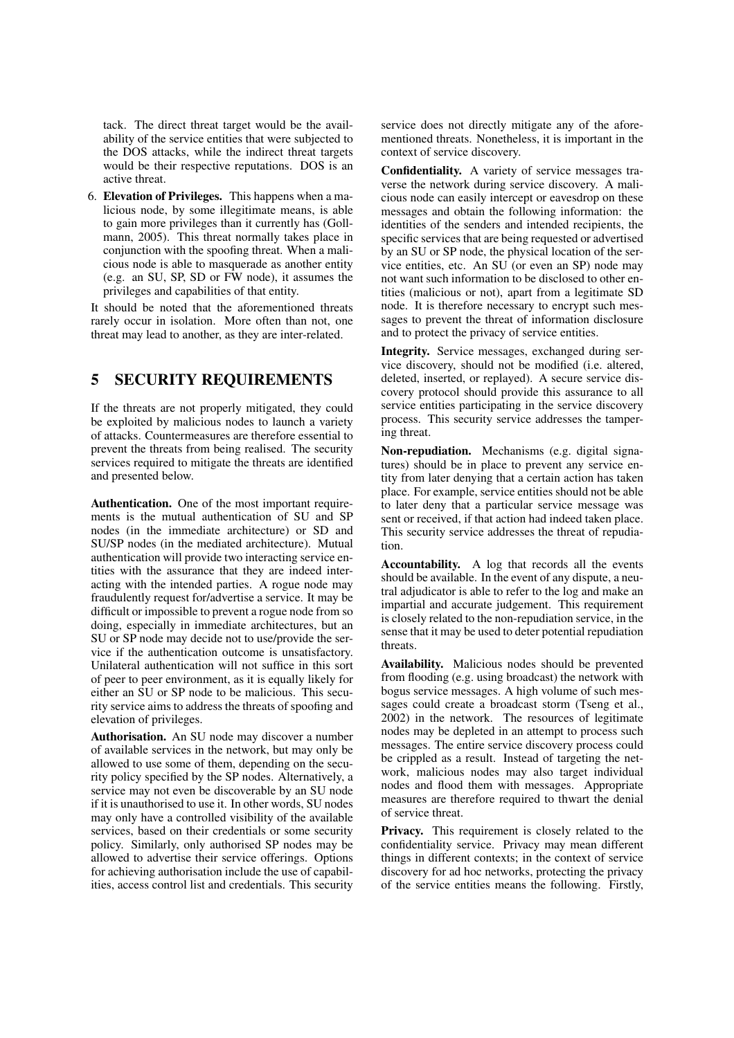tack. The direct threat target would be the availability of the service entities that were subjected to the DOS attacks, while the indirect threat targets would be their respective reputations. DOS is an active threat.

6. Elevation of Privileges. This happens when a malicious node, by some illegitimate means, is able to gain more privileges than it currently has (Gollmann, 2005). This threat normally takes place in conjunction with the spoofing threat. When a malicious node is able to masquerade as another entity (e.g. an SU, SP, SD or FW node), it assumes the privileges and capabilities of that entity.

It should be noted that the aforementioned threats rarely occur in isolation. More often than not, one threat may lead to another, as they are inter-related.

#### 5 SECURITY REQUIREMENTS

If the threats are not properly mitigated, they could be exploited by malicious nodes to launch a variety of attacks. Countermeasures are therefore essential to prevent the threats from being realised. The security services required to mitigate the threats are identified and presented below.

Authentication. One of the most important requirements is the mutual authentication of SU and SP nodes (in the immediate architecture) or SD and SU/SP nodes (in the mediated architecture). Mutual authentication will provide two interacting service entities with the assurance that they are indeed interacting with the intended parties. A rogue node may fraudulently request for/advertise a service. It may be difficult or impossible to prevent a rogue node from so doing, especially in immediate architectures, but an SU or SP node may decide not to use/provide the service if the authentication outcome is unsatisfactory. Unilateral authentication will not suffice in this sort of peer to peer environment, as it is equally likely for either an SU or SP node to be malicious. This security service aims to address the threats of spoofing and elevation of privileges.

Authorisation. An SU node may discover a number of available services in the network, but may only be allowed to use some of them, depending on the security policy specified by the SP nodes. Alternatively, a service may not even be discoverable by an SU node if it is unauthorised to use it. In other words, SU nodes may only have a controlled visibility of the available services, based on their credentials or some security policy. Similarly, only authorised SP nodes may be allowed to advertise their service offerings. Options for achieving authorisation include the use of capabilities, access control list and credentials. This security service does not directly mitigate any of the aforementioned threats. Nonetheless, it is important in the context of service discovery.

Confidentiality. A variety of service messages traverse the network during service discovery. A malicious node can easily intercept or eavesdrop on these messages and obtain the following information: the identities of the senders and intended recipients, the specific services that are being requested or advertised by an SU or SP node, the physical location of the service entities, etc. An SU (or even an SP) node may not want such information to be disclosed to other entities (malicious or not), apart from a legitimate SD node. It is therefore necessary to encrypt such messages to prevent the threat of information disclosure and to protect the privacy of service entities.

Integrity. Service messages, exchanged during service discovery, should not be modified (i.e. altered, deleted, inserted, or replayed). A secure service discovery protocol should provide this assurance to all service entities participating in the service discovery process. This security service addresses the tampering threat.

Non-repudiation. Mechanisms (e.g. digital signatures) should be in place to prevent any service entity from later denying that a certain action has taken place. For example, service entities should not be able to later deny that a particular service message was sent or received, if that action had indeed taken place. This security service addresses the threat of repudiation.

Accountability. A log that records all the events should be available. In the event of any dispute, a neutral adjudicator is able to refer to the log and make an impartial and accurate judgement. This requirement is closely related to the non-repudiation service, in the sense that it may be used to deter potential repudiation threats.

Availability. Malicious nodes should be prevented from flooding (e.g. using broadcast) the network with bogus service messages. A high volume of such messages could create a broadcast storm (Tseng et al., 2002) in the network. The resources of legitimate nodes may be depleted in an attempt to process such messages. The entire service discovery process could be crippled as a result. Instead of targeting the network, malicious nodes may also target individual nodes and flood them with messages. Appropriate measures are therefore required to thwart the denial of service threat.

Privacy. This requirement is closely related to the confidentiality service. Privacy may mean different things in different contexts; in the context of service discovery for ad hoc networks, protecting the privacy of the service entities means the following. Firstly,